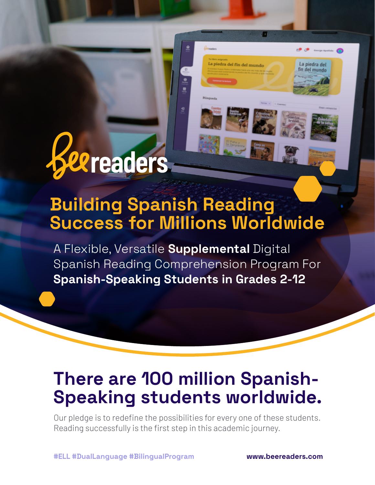# *exreaders*

## **Building Spanish Reading Success for Millions Worldwide**

a piedra del fin del mundo

a piedra del del mundo

A Flexible, Versatile **Supplemental** Digital Spanish Reading Comprehension Program For **Spanish-Speaking Students in Grades 2-12**

#### **There are 100 million Spanish-Speaking students worldwide.**

Our pledge is to redefine the possibilities for every one of these students. Reading successfully is the first step in this academic journey.